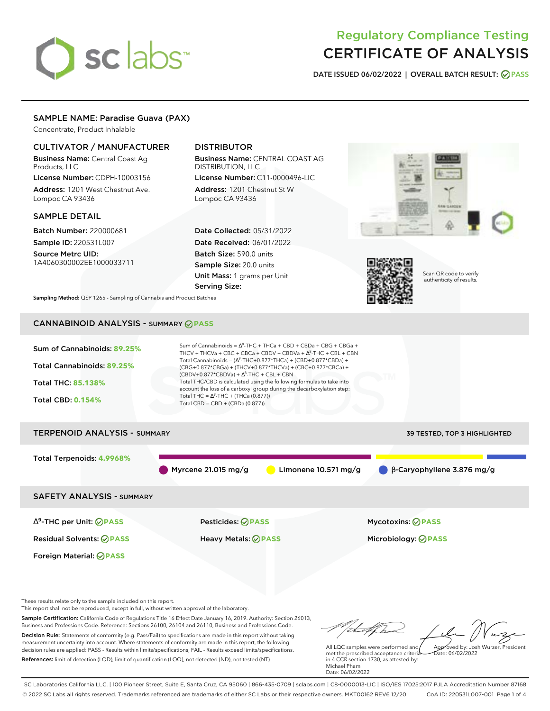# sclabs<sup>\*</sup>

# Regulatory Compliance Testing CERTIFICATE OF ANALYSIS

**DATE ISSUED 06/02/2022 | OVERALL BATCH RESULT: PASS**

# SAMPLE NAME: Paradise Guava (PAX)

Concentrate, Product Inhalable

# CULTIVATOR / MANUFACTURER

Business Name: Central Coast Ag Products, LLC

License Number: CDPH-10003156 Address: 1201 West Chestnut Ave. Lompoc CA 93436

# SAMPLE DETAIL

Batch Number: 220000681 Sample ID: 220531L007

Source Metrc UID: 1A4060300002EE1000033711

# DISTRIBUTOR

Business Name: CENTRAL COAST AG DISTRIBUTION, LLC License Number: C11-0000496-LIC

Address: 1201 Chestnut St W Lompoc CA 93436

Date Collected: 05/31/2022 Date Received: 06/01/2022 Batch Size: 590.0 units Sample Size: 20.0 units Unit Mass: 1 grams per Unit Serving Size:





Scan QR code to verify authenticity of results.

**Sampling Method:** QSP 1265 - Sampling of Cannabis and Product Batches

# CANNABINOID ANALYSIS - SUMMARY **PASS**



These results relate only to the sample included on this report.

Foreign Material: **PASS**

This report shall not be reproduced, except in full, without written approval of the laboratory.

Sample Certification: California Code of Regulations Title 16 Effect Date January 16, 2019. Authority: Section 26013, Business and Professions Code. Reference: Sections 26100, 26104 and 26110, Business and Professions Code. Decision Rule: Statements of conformity (e.g. Pass/Fail) to specifications are made in this report without taking measurement uncertainty into account. Where statements of conformity are made in this report, the following decision rules are applied: PASS - Results within limits/specifications, FAIL - Results exceed limits/specifications.

References: limit of detection (LOD), limit of quantification (LOQ), not detected (ND), not tested (NT)

tu of h Approved by: Josh Wurzer, President

 $hat: 06/02/2022$ 

All LQC samples were performed and met the prescribed acceptance criteria in 4 CCR section 1730, as attested by: Michael Pham Date: 06/02/2022

SC Laboratories California LLC. | 100 Pioneer Street, Suite E, Santa Cruz, CA 95060 | 866-435-0709 | sclabs.com | C8-0000013-LIC | ISO/IES 17025:2017 PJLA Accreditation Number 87168 © 2022 SC Labs all rights reserved. Trademarks referenced are trademarks of either SC Labs or their respective owners. MKT00162 REV6 12/20 CoA ID: 220531L007-001 Page 1 of 4